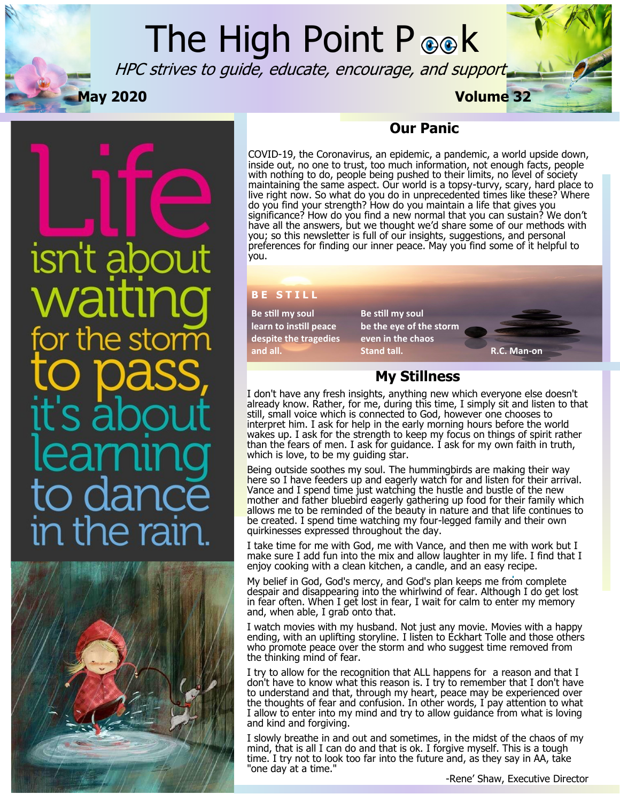## The High Point P **B R**

HPC strives to guide, educate, encourage, and support



# isn't abou  $\overline{O}$  C in the raii



#### **Our Panic**

COVID-19, the Coronavirus, an epidemic, a pandemic, a world upside down, inside out, no one to trust, too much information, not enough facts, people with nothing to do, people being pushed to their limits, no level of society maintaining the same aspect. Our world is a topsy-turvy, scary, hard place to live right now. So what do you do in unprecedented times like these? Where do you find your strength? How do you maintain a life that gives you significance? How do you find a new normal that you can sustain? We don't have all the answers, but we thought we'd share some of our methods with you; so this newsletter is full of our insights, suggestions, and personal preferences for finding our inner peace. May you find some of it helpful to you.

#### **B E S T I L L**

**Be still my soul Be still my soul despite the tragedies even in the chaos**

**learn to instill peace be the eye of the storm and all. Stand tall. R.C. Man-on**

#### **My Stillness**

I don't have any fresh insights, anything new which everyone else doesn't already know. Rather, for me, during this time, I simply sit and listen to that still, small voice which is connected to God, however one chooses to interpret him. I ask for help in the early morning hours before the world wakes up. I ask for the strength to keep my focus on things of spirit rather than the fears of men. I ask for guidance. I ask for my own faith in truth, which is love, to be my guiding star.

Being outside soothes my soul. The hummingbirds are making their way here so I have feeders up and eagerly watch for and listen for their arrival. Vance and I spend time just watching the hustle and bustle of the new mother and father bluebird eagerly gathering up food for their family which allows me to be reminded of the beauty in nature and that life continues to be created. I spend time watching my four-legged family and their own quirkinesses expressed throughout the day.

I take time for me with God, me with Vance, and then me with work but I make sure I add fun into the mix and allow laughter in my life. I find that I enjoy cooking with a clean kitchen, a candle, and an easy recipe.

My belief in God, God's mercy, and God's plan keeps me from complete despair and disappearing into the whirlwind of fear. Although I do get lost in fear often. When I get lost in fear, I wait for calm to enter my memory and, when able, I grab onto that.

I watch movies with my husband. Not just any movie. Movies with a happy ending, with an uplifting storyline. I listen to Eckhart Tolle and those others who promote peace over the storm and who suggest time removed from the thinking mind of fear.

I try to allow for the recognition that ALL happens for a reason and that I don't have to know what this reason is. I try to remember that I don't have to understand and that, through my heart, peace may be experienced over the thoughts of fear and confusion. In other words, I pay attention to what I allow to enter into my mind and try to allow guidance from what is loving and kind and forgiving.

I slowly breathe in and out and sometimes, in the midst of the chaos of my mind, that is all I can do and that is ok. I forgive myself. This is a tough time. I try not to look too far into the future and, as they say in AA, take "one day at a time."